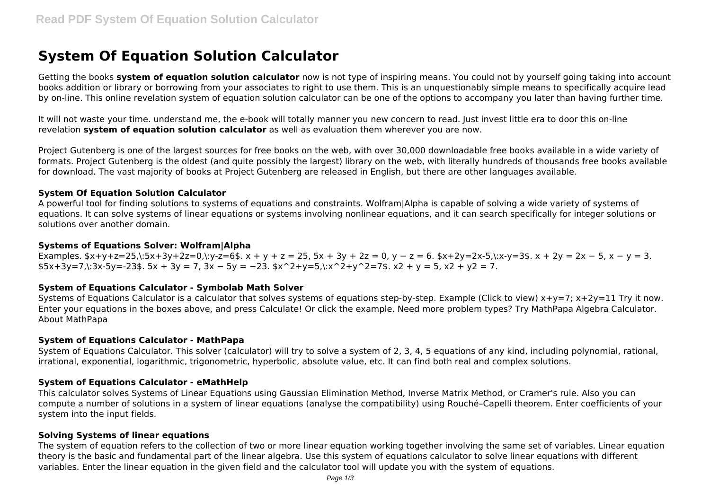# **System Of Equation Solution Calculator**

Getting the books **system of equation solution calculator** now is not type of inspiring means. You could not by yourself going taking into account books addition or library or borrowing from your associates to right to use them. This is an unquestionably simple means to specifically acquire lead by on-line. This online revelation system of equation solution calculator can be one of the options to accompany you later than having further time.

It will not waste your time. understand me, the e-book will totally manner you new concern to read. Just invest little era to door this on-line revelation **system of equation solution calculator** as well as evaluation them wherever you are now.

Project Gutenberg is one of the largest sources for free books on the web, with over 30,000 downloadable free books available in a wide variety of formats. Project Gutenberg is the oldest (and quite possibly the largest) library on the web, with literally hundreds of thousands free books available for download. The vast majority of books at Project Gutenberg are released in English, but there are other languages available.

# **System Of Equation Solution Calculator**

A powerful tool for finding solutions to systems of equations and constraints. Wolfram|Alpha is capable of solving a wide variety of systems of equations. It can solve systems of linear equations or systems involving nonlinear equations, and it can search specifically for integer solutions or solutions over another domain.

## **Systems of Equations Solver: Wolfram|Alpha**

Examples.  $x+y+z=25$ ,:5x+3y+2z=0,:y-z=6\$. x + y + z = 25, 5x + 3y + 2z = 0, y - z = 6.  $x+2y=2x-5$ ,:x-y=3\$. x + 2y = 2x - 5, x - y = 3.  $$5x+3y=7$ ,:3x-5y=-23\$.  $5x + 3y = 7$ ,  $3x - 5y = -23$ .  $$x^2+y=5$ , $:x^2+y^2=7$ .  $x^2 + y = 5$ ,  $x^2 + y^2 = 7$ .

# **System of Equations Calculator - Symbolab Math Solver**

Systems of Equations Calculator is a calculator that solves systems of equations step-by-step. Example (Click to view)  $x+y=7$ ;  $x+2y=11$  Try it now. Enter your equations in the boxes above, and press Calculate! Or click the example. Need more problem types? Try MathPapa Algebra Calculator. About MathPapa

## **System of Equations Calculator - MathPapa**

System of Equations Calculator. This solver (calculator) will try to solve a system of 2, 3, 4, 5 equations of any kind, including polynomial, rational, irrational, exponential, logarithmic, trigonometric, hyperbolic, absolute value, etc. It can find both real and complex solutions.

## **System of Equations Calculator - eMathHelp**

This calculator solves Systems of Linear Equations using Gaussian Elimination Method, Inverse Matrix Method, or Cramer's rule. Also you can compute a number of solutions in a system of linear equations (analyse the compatibility) using Rouché–Capelli theorem. Enter coefficients of your system into the input fields.

## **Solving Systems of linear equations**

The system of equation refers to the collection of two or more linear equation working together involving the same set of variables. Linear equation theory is the basic and fundamental part of the linear algebra. Use this system of equations calculator to solve linear equations with different variables. Enter the linear equation in the given field and the calculator tool will update you with the system of equations.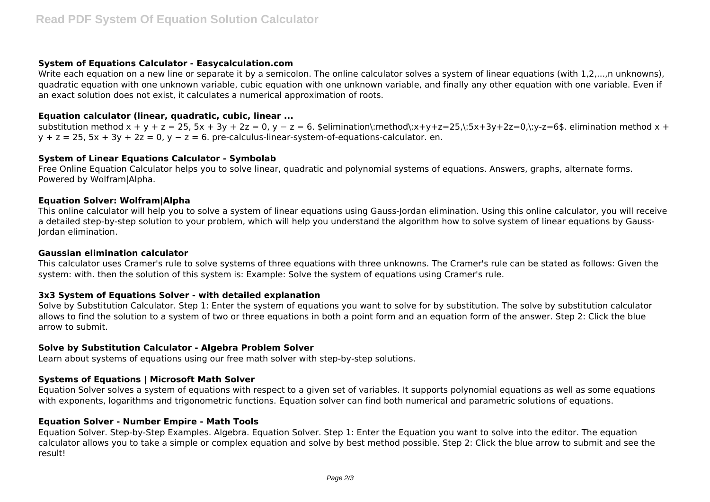## **System of Equations Calculator - Easycalculation.com**

Write each equation on a new line or separate it by a semicolon. The online calculator solves a system of linear equations (with 1,2,...,n unknowns), quadratic equation with one unknown variable, cubic equation with one unknown variable, and finally any other equation with one variable. Even if an exact solution does not exist, it calculates a numerical approximation of roots.

# **Equation calculator (linear, quadratic, cubic, linear ...**

substitution method  $x + y + z = 25$ .  $5x + 3y + 2z = 0$ .  $y - z = 6$ . \$elimination\:method\:x+y+z=25.\:5x+3y+2z=0.\:y-z=6\$. elimination method x +  $v + z = 25$ .  $5x + 3v + 2z = 0$ ,  $v - z = 6$ . pre-calculus-linear-system-of-equations-calculator. en.

# **System of Linear Equations Calculator - Symbolab**

Free Online Equation Calculator helps you to solve linear, quadratic and polynomial systems of equations. Answers, graphs, alternate forms. Powered by Wolfram|Alpha.

# **Equation Solver: Wolfram|Alpha**

This online calculator will help you to solve a system of linear equations using Gauss-Jordan elimination. Using this online calculator, you will receive a detailed step-by-step solution to your problem, which will help you understand the algorithm how to solve system of linear equations by Gauss-Jordan elimination.

#### **Gaussian elimination calculator**

This calculator uses Cramer's rule to solve systems of three equations with three unknowns. The Cramer's rule can be stated as follows: Given the system: with. then the solution of this system is: Example: Solve the system of equations using Cramer's rule.

## **3x3 System of Equations Solver - with detailed explanation**

Solve by Substitution Calculator. Step 1: Enter the system of equations you want to solve for by substitution. The solve by substitution calculator allows to find the solution to a system of two or three equations in both a point form and an equation form of the answer. Step 2: Click the blue arrow to submit.

# **Solve by Substitution Calculator - Algebra Problem Solver**

Learn about systems of equations using our free math solver with step-by-step solutions.

# **Systems of Equations | Microsoft Math Solver**

Equation Solver solves a system of equations with respect to a given set of variables. It supports polynomial equations as well as some equations with exponents, logarithms and trigonometric functions. Equation solver can find both numerical and parametric solutions of equations.

## **Equation Solver - Number Empire - Math Tools**

Equation Solver. Step-by-Step Examples. Algebra. Equation Solver. Step 1: Enter the Equation you want to solve into the editor. The equation calculator allows you to take a simple or complex equation and solve by best method possible. Step 2: Click the blue arrow to submit and see the result!